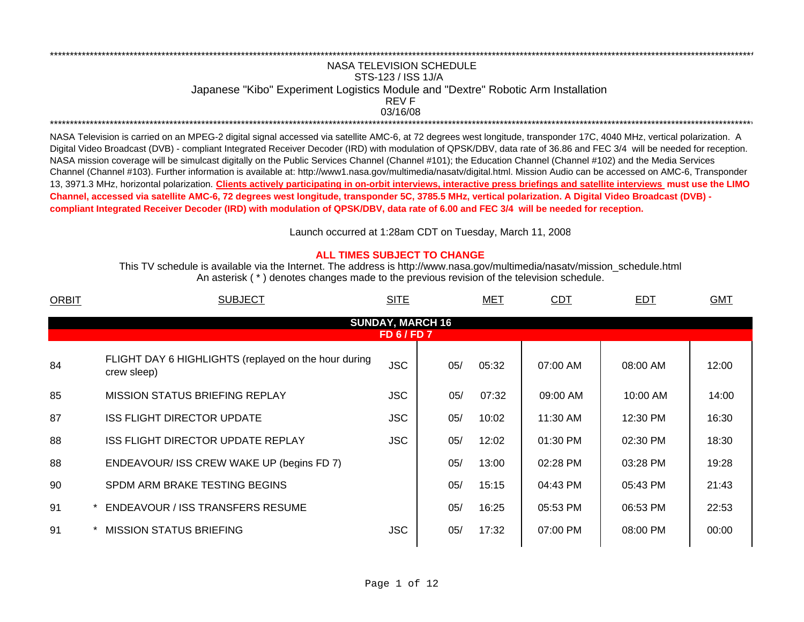## NASA TELEVISION SCHEDULESTS-123 / ISS 1J/A Japanese "Kibo" Experiment Logistics Module and "Dextre" Robotic Arm Installation 03/16/08REV F\*\*\*\*\*\*\*\*\*\*\*\*\*\*\*\*\*\*\*\*\*\*\*\*\*\*\*\*\*\*\*\*\*\*\*\*\*\*\*\*\*\*\*\*\*\*\*\*\*\*\*\*\*\*\*\*\*\*\*\*\*\*\*\*\*\*\*\*\*\*\*\*\*\*\*\*\*\*\*\*\*\*\*\*\*\*\*\*\*\*\*\*\*\*\*\*\*\*\*\*\*\*\*\*\*\*\*\*\*\*\*\*\*\*\*\*\*\*\*\*\*\*\*\*\*\*\*\*\*\*\*\*\*\*\*\*\*\*\*\*\*\*\*\*\*\*\*\*\*\*\*\*\*\*\*\*\*\*\*\*\*\*\*\*\*\*\*\*\*\*\*\*\*\*\*\*\*

\*\*\*\*\*\*\*\*\*\*\*\*\*\*\*\*\*\*\*\*\*\*\*\*\*\*\*\*\*\*\*\*\*\*\*\*\*\*\*\*\*\*\*\*\*\*\*\*\*\*\*\*\*\*\*\*\*\*\*\*\*\*\*\*\*\*\*\*\*\*\*\*\*\*\*\*\*\*\*\*\*\*\*\*\*\*\*\*\*\*\*\*\*\*\*\*\*\*\*\*\*\*\*\*\*\*\*\*\*\*\*\*\*\*\*\*\*\*\*\*\*\*\*\*\*\*\*\*\*\*\*\*\*\*\*\*\*\*\*\*\*\*\*\*\*\*\*\*\*\*\*\*\*\*\*\*\*\*\*\*\*\*\*\*\*\*\*\*\*\*\*\*\*\*\*\*\*

NASA Television is carried on an MPEG-2 digital signal accessed via satellite AMC-6, at 72 degrees west longitude, transponder 17C, 4040 MHz, vertical polarization. A Digital Video Broadcast (DVB) - compliant Integrated Receiver Decoder (IRD) with modulation of QPSK/DBV, data rate of 36.86 and FEC 3/4 will be needed for reception. NASA mission coverage will be simulcast digitally on the Public Services Channel (Channel #101); the Education Channel (Channel #102) and the Media Services Channel (Channel #103). Further information is available at: http://www1.nasa.gov/multimedia/nasatv/digital.html. Mission Audio can be accessed on AMC-6, Transponder 13, 3971.3 MHz, horizontal polarization. **Clients actively participating in on-orbit interviews, interactive press briefings and satellite interviews must use the LIMO Channel, accessed via satellite AMC-6, 72 degrees west longitude, transponder 5C, 3785.5 MHz, vertical polarization. A Digital Video Broadcast (DVB) compliant Integrated Receiver Decoder (IRD) with modulation of QPSK/DBV, data rate of 6.00 and FEC 3/4 will be needed for reception.**

Launch occurred at 1:28am CDT on Tuesday, March 11, 200 8

## **ALL TIMES SUBJECT TO CHANGE**

An asterisk ( \* ) denotes changes made to the previous revision of the television schedule. This TV schedule is available via the Internet. The address is http://www.nasa.gov/multimedia/nasatv/mission\_schedule.html

| <b>ORBIT</b> | <b>SUBJECT</b>                                                      | <b>SITE</b>                                 |     | <u>MET</u> | <b>CDT</b> | <b>EDT</b> | <b>GMT</b> |
|--------------|---------------------------------------------------------------------|---------------------------------------------|-----|------------|------------|------------|------------|
|              |                                                                     | <b>SUNDAY, MARCH 16</b><br><b>FD 6/FD 7</b> |     |            |            |            |            |
| 84           | FLIGHT DAY 6 HIGHLIGHTS (replayed on the hour during<br>crew sleep) | <b>JSC</b>                                  | 05/ | 05:32      | 07:00 AM   | 08:00 AM   | 12:00      |
| 85           | <b>MISSION STATUS BRIEFING REPLAY</b>                               | <b>JSC</b>                                  | 05/ | 07:32      | 09:00 AM   | 10:00 AM   | 14:00      |
| 87           | <b>ISS FLIGHT DIRECTOR UPDATE</b>                                   | <b>JSC</b>                                  | 05/ | 10:02      | 11:30 AM   | 12:30 PM   | 16:30      |
| 88           | <b>ISS FLIGHT DIRECTOR UPDATE REPLAY</b>                            | <b>JSC</b>                                  | 05/ | 12:02      | 01:30 PM   | 02:30 PM   | 18:30      |
| 88           | ENDEAVOUR/ ISS CREW WAKE UP (begins FD 7)                           |                                             | 05/ | 13:00      | 02:28 PM   | 03:28 PM   | 19:28      |
| 90           | SPDM ARM BRAKE TESTING BEGINS                                       |                                             | 05/ | 15:15      | 04:43 PM   | 05:43 PM   | 21:43      |
| 91           | <b>ENDEAVOUR / ISS TRANSFERS RESUME</b>                             |                                             | 05/ | 16:25      | 05:53 PM   | 06:53 PM   | 22:53      |
| 91           | <b>MISSION STATUS BRIEFING</b>                                      | <b>JSC</b>                                  | 05/ | 17:32      | 07:00 PM   | 08:00 PM   | 00:00      |
|              |                                                                     |                                             |     |            |            |            |            |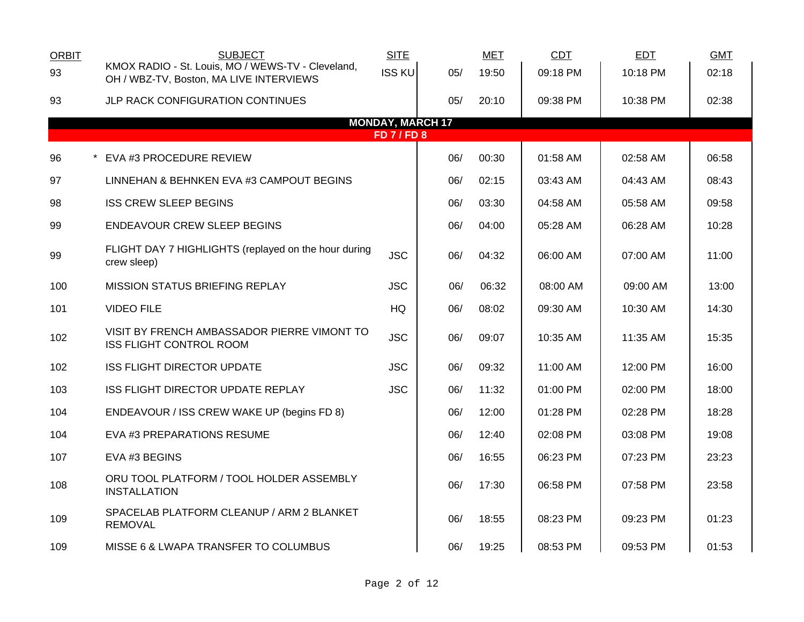| <b>ORBIT</b> | <b>SUBJECT</b>                                                                               | <b>SITE</b>                                 |     | <b>MET</b> | CDT      | <b>EDT</b> | <b>GMT</b> |
|--------------|----------------------------------------------------------------------------------------------|---------------------------------------------|-----|------------|----------|------------|------------|
| 93           | KMOX RADIO - St. Louis, MO / WEWS-TV - Cleveland,<br>OH / WBZ-TV, Boston, MA LIVE INTERVIEWS | <b>ISS KU</b>                               | 05/ | 19:50      | 09:18 PM | 10:18 PM   | 02:18      |
| 93           | <b>JLP RACK CONFIGURATION CONTINUES</b>                                                      |                                             | 05/ | 20:10      | 09:38 PM | 10:38 PM   | 02:38      |
|              |                                                                                              | <b>MONDAY, MARCH 17</b><br><b>FD 7/FD 8</b> |     |            |          |            |            |
|              |                                                                                              |                                             |     |            |          |            |            |
| 96           | * EVA #3 PROCEDURE REVIEW                                                                    |                                             | 06/ | 00:30      | 01:58 AM | 02:58 AM   | 06:58      |
| 97           | LINNEHAN & BEHNKEN EVA #3 CAMPOUT BEGINS                                                     |                                             | 06/ | 02:15      | 03:43 AM | 04:43 AM   | 08:43      |
| 98           | <b>ISS CREW SLEEP BEGINS</b>                                                                 |                                             | 06/ | 03:30      | 04:58 AM | 05:58 AM   | 09:58      |
| 99           | <b>ENDEAVOUR CREW SLEEP BEGINS</b>                                                           |                                             | 06/ | 04:00      | 05:28 AM | 06:28 AM   | 10:28      |
| 99           | FLIGHT DAY 7 HIGHLIGHTS (replayed on the hour during<br>crew sleep)                          | <b>JSC</b>                                  | 06/ | 04:32      | 06:00 AM | 07:00 AM   | 11:00      |
| 100          | <b>MISSION STATUS BRIEFING REPLAY</b>                                                        | <b>JSC</b>                                  | 06/ | 06:32      | 08:00 AM | 09:00 AM   | 13:00      |
| 101          | <b>VIDEO FILE</b>                                                                            | HQ                                          | 06/ | 08:02      | 09:30 AM | 10:30 AM   | 14:30      |
| 102          | VISIT BY FRENCH AMBASSADOR PIERRE VIMONT TO<br><b>ISS FLIGHT CONTROL ROOM</b>                | <b>JSC</b>                                  | 06/ | 09:07      | 10:35 AM | 11:35 AM   | 15:35      |
| 102          | <b>ISS FLIGHT DIRECTOR UPDATE</b>                                                            | <b>JSC</b>                                  | 06/ | 09:32      | 11:00 AM | 12:00 PM   | 16:00      |
| 103          | ISS FLIGHT DIRECTOR UPDATE REPLAY                                                            | <b>JSC</b>                                  | 06/ | 11:32      | 01:00 PM | 02:00 PM   | 18:00      |
| 104          | ENDEAVOUR / ISS CREW WAKE UP (begins FD 8)                                                   |                                             | 06/ | 12:00      | 01:28 PM | 02:28 PM   | 18:28      |
| 104          | EVA #3 PREPARATIONS RESUME                                                                   |                                             | 06/ | 12:40      | 02:08 PM | 03:08 PM   | 19:08      |
| 107          | EVA #3 BEGINS                                                                                |                                             | 06/ | 16:55      | 06:23 PM | 07:23 PM   | 23:23      |
| 108          | ORU TOOL PLATFORM / TOOL HOLDER ASSEMBLY<br><b>INSTALLATION</b>                              |                                             | 06/ | 17:30      | 06:58 PM | 07:58 PM   | 23:58      |
| 109          | SPACELAB PLATFORM CLEANUP / ARM 2 BLANKET<br><b>REMOVAL</b>                                  |                                             | 06/ | 18:55      | 08:23 PM | 09:23 PM   | 01:23      |
| 109          | MISSE 6 & LWAPA TRANSFER TO COLUMBUS                                                         |                                             | 06/ | 19:25      | 08:53 PM | 09:53 PM   | 01:53      |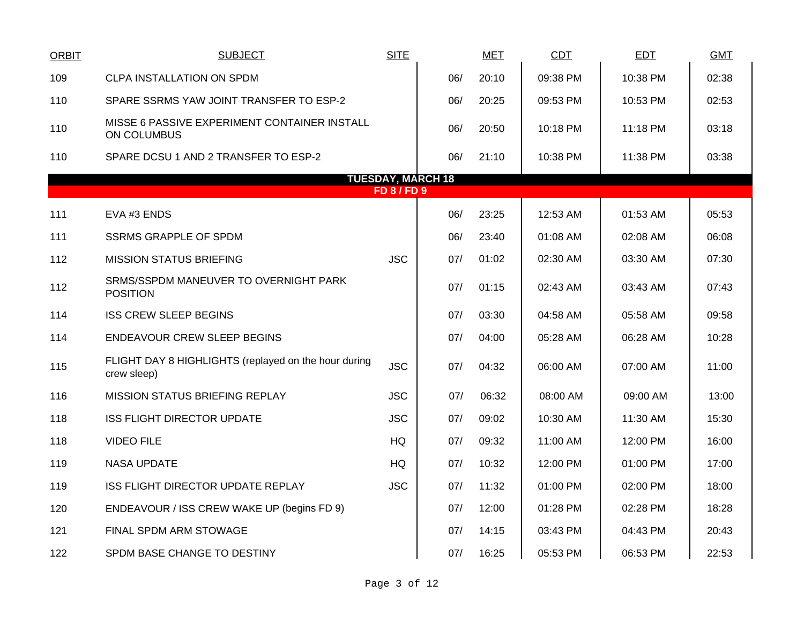| ORBIT | <b>SUBJECT</b>                                                      | <b>SITE</b>      |                          | <b>MET</b> | <b>CDT</b> | <b>EDT</b> | <b>GMT</b> |
|-------|---------------------------------------------------------------------|------------------|--------------------------|------------|------------|------------|------------|
| 109   | <b>CLPA INSTALLATION ON SPDM</b>                                    |                  | 06/                      | 20:10      | 09:38 PM   | 10:38 PM   | 02:38      |
| 110   | SPARE SSRMS YAW JOINT TRANSFER TO ESP-2                             |                  | 06/                      | 20:25      | 09:53 PM   | 10:53 PM   | 02:53      |
| 110   | MISSE 6 PASSIVE EXPERIMENT CONTAINER INSTALL<br>ON COLUMBUS         |                  | 06/                      | 20:50      | 10:18 PM   | 11:18 PM   | 03:18      |
| 110   | SPARE DCSU 1 AND 2 TRANSFER TO ESP-2                                |                  | 06/                      | 21:10      | 10:38 PM   | 11:38 PM   | 03:38      |
|       |                                                                     |                  | <b>TUESDAY, MARCH 18</b> |            |            |            |            |
|       |                                                                     | <b>FD 8/FD 9</b> |                          |            |            |            |            |
| 111   | EVA #3 ENDS                                                         |                  | 06/                      | 23:25      | 12:53 AM   | 01:53 AM   | 05:53      |
| 111   | <b>SSRMS GRAPPLE OF SPDM</b>                                        |                  | 06/                      | 23:40      | 01:08 AM   | 02:08 AM   | 06:08      |
| 112   | <b>MISSION STATUS BRIEFING</b>                                      | <b>JSC</b>       | 07/                      | 01:02      | 02:30 AM   | 03:30 AM   | 07:30      |
| 112   | SRMS/SSPDM MANEUVER TO OVERNIGHT PARK<br><b>POSITION</b>            |                  | 07/                      | 01:15      | 02:43 AM   | 03:43 AM   | 07:43      |
| 114   | <b>ISS CREW SLEEP BEGINS</b>                                        |                  | 07/                      | 03:30      | 04:58 AM   | 05:58 AM   | 09:58      |
| 114   | <b>ENDEAVOUR CREW SLEEP BEGINS</b>                                  |                  | 07/                      | 04:00      | 05:28 AM   | 06:28 AM   | 10:28      |
| 115   | FLIGHT DAY 8 HIGHLIGHTS (replayed on the hour during<br>crew sleep) | <b>JSC</b>       | 07/                      | 04:32      | 06:00 AM   | 07:00 AM   | 11:00      |
| 116   | <b>MISSION STATUS BRIEFING REPLAY</b>                               | <b>JSC</b>       | 07/                      | 06:32      | 08:00 AM   | 09:00 AM   | 13:00      |
| 118   | <b>ISS FLIGHT DIRECTOR UPDATE</b>                                   | <b>JSC</b>       | 07/                      | 09:02      | 10:30 AM   | 11:30 AM   | 15:30      |
| 118   | <b>VIDEO FILE</b>                                                   | HQ               | 07/                      | 09:32      | 11:00 AM   | 12:00 PM   | 16:00      |
| 119   | <b>NASA UPDATE</b>                                                  | HQ               | 07/                      | 10:32      | 12:00 PM   | 01:00 PM   | 17:00      |
| 119   | <b>ISS FLIGHT DIRECTOR UPDATE REPLAY</b>                            | <b>JSC</b>       | 07/                      | 11:32      | 01:00 PM   | 02:00 PM   | 18:00      |
| 120   | ENDEAVOUR / ISS CREW WAKE UP (begins FD 9)                          |                  | 07/                      | 12:00      | 01:28 PM   | 02:28 PM   | 18:28      |
| 121   | FINAL SPDM ARM STOWAGE                                              |                  | 07/                      | 14:15      | 03:43 PM   | 04:43 PM   | 20:43      |
| 122   | SPDM BASE CHANGE TO DESTINY                                         |                  | 07/                      | 16:25      | 05:53 PM   | 06:53 PM   | 22:53      |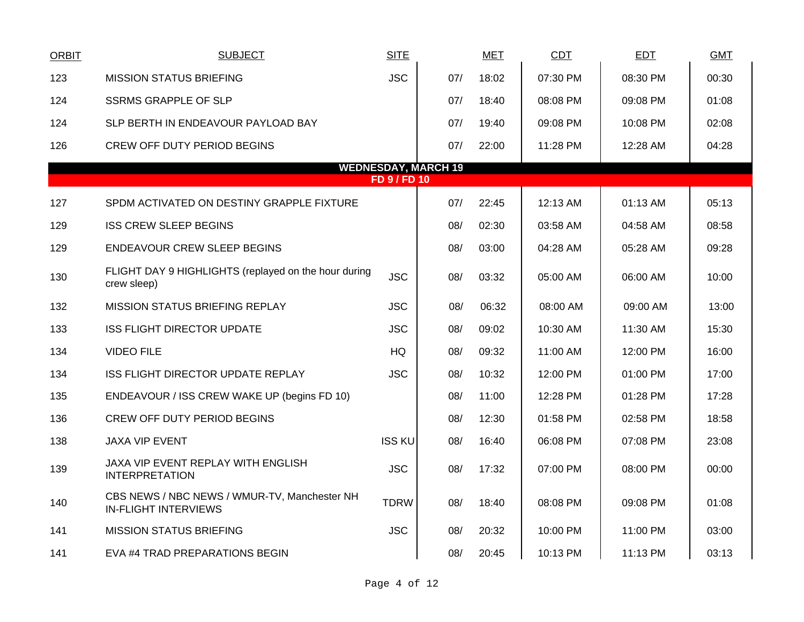| <b>ORBIT</b> | <b>SUBJECT</b>                                                              | <b>SITE</b>         |                            | <b>MET</b> | <b>CDT</b> | <b>EDT</b> | <b>GMT</b> |
|--------------|-----------------------------------------------------------------------------|---------------------|----------------------------|------------|------------|------------|------------|
| 123          | <b>MISSION STATUS BRIEFING</b>                                              | <b>JSC</b>          | 07/                        | 18:02      | 07:30 PM   | 08:30 PM   | 00:30      |
| 124          | <b>SSRMS GRAPPLE OF SLP</b>                                                 |                     | 07/                        | 18:40      | 08:08 PM   | 09:08 PM   | 01:08      |
| 124          | SLP BERTH IN ENDEAVOUR PAYLOAD BAY                                          |                     | 07/                        | 19:40      | 09:08 PM   | 10:08 PM   | 02:08      |
| 126          | CREW OFF DUTY PERIOD BEGINS                                                 |                     | 07/                        | 22:00      | 11:28 PM   | 12:28 AM   | 04:28      |
|              |                                                                             | <b>FD 9 / FD 10</b> | <b>WEDNESDAY, MARCH 19</b> |            |            |            |            |
|              |                                                                             |                     |                            |            |            |            |            |
| 127          | SPDM ACTIVATED ON DESTINY GRAPPLE FIXTURE                                   |                     | 07/                        | 22:45      | 12:13 AM   | 01:13 AM   | 05:13      |
| 129          | <b>ISS CREW SLEEP BEGINS</b>                                                |                     | 08/                        | 02:30      | 03:58 AM   | 04:58 AM   | 08:58      |
| 129          | <b>ENDEAVOUR CREW SLEEP BEGINS</b>                                          |                     | 08/                        | 03:00      | 04:28 AM   | 05:28 AM   | 09:28      |
| 130          | FLIGHT DAY 9 HIGHLIGHTS (replayed on the hour during<br>crew sleep)         | <b>JSC</b>          | 08/                        | 03:32      | 05:00 AM   | 06:00 AM   | 10:00      |
| 132          | MISSION STATUS BRIEFING REPLAY                                              | <b>JSC</b>          | 08/                        | 06:32      | 08:00 AM   | 09:00 AM   | 13:00      |
| 133          | <b>ISS FLIGHT DIRECTOR UPDATE</b>                                           | <b>JSC</b>          | 08/                        | 09:02      | 10:30 AM   | 11:30 AM   | 15:30      |
| 134          | <b>VIDEO FILE</b>                                                           | HQ                  | 08/                        | 09:32      | 11:00 AM   | 12:00 PM   | 16:00      |
| 134          | <b>ISS FLIGHT DIRECTOR UPDATE REPLAY</b>                                    | <b>JSC</b>          | 08/                        | 10:32      | 12:00 PM   | 01:00 PM   | 17:00      |
| 135          | ENDEAVOUR / ISS CREW WAKE UP (begins FD 10)                                 |                     | 08/                        | 11:00      | 12:28 PM   | 01:28 PM   | 17:28      |
| 136          | CREW OFF DUTY PERIOD BEGINS                                                 |                     | 08/                        | 12:30      | 01:58 PM   | 02:58 PM   | 18:58      |
| 138          | <b>JAXA VIP EVENT</b>                                                       | <b>ISS KU</b>       | 08/                        | 16:40      | 06:08 PM   | 07:08 PM   | 23:08      |
| 139          | JAXA VIP EVENT REPLAY WITH ENGLISH<br><b>INTERPRETATION</b>                 | <b>JSC</b>          | 08/                        | 17:32      | 07:00 PM   | 08:00 PM   | 00:00      |
| 140          | CBS NEWS / NBC NEWS / WMUR-TV, Manchester NH<br><b>IN-FLIGHT INTERVIEWS</b> | <b>TDRW</b>         | 08/                        | 18:40      | 08:08 PM   | 09:08 PM   | 01:08      |
| 141          | <b>MISSION STATUS BRIEFING</b>                                              | <b>JSC</b>          | 08/                        | 20:32      | 10:00 PM   | 11:00 PM   | 03:00      |
| 141          | EVA #4 TRAD PREPARATIONS BEGIN                                              |                     | 08/                        | 20:45      | 10:13 PM   | 11:13 PM   | 03:13      |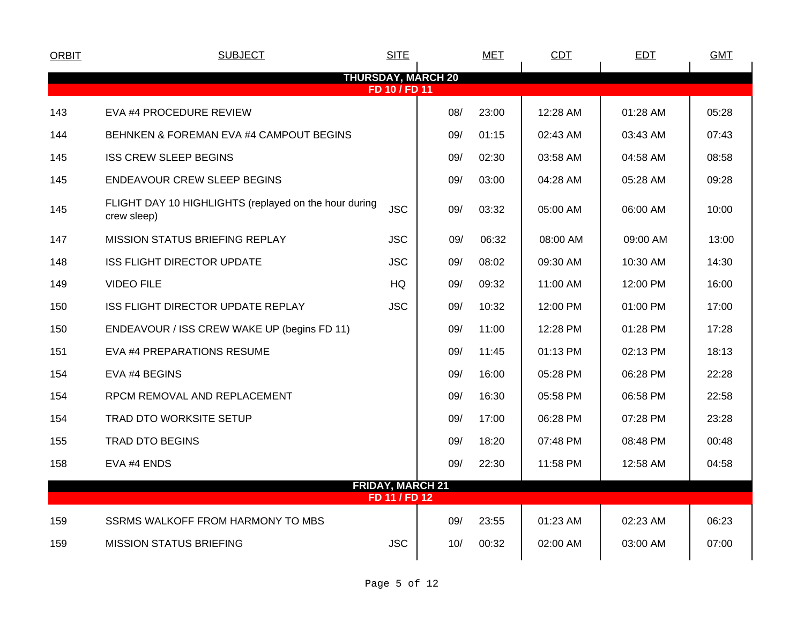| <b>ORBIT</b> | <b>SUBJECT</b>                                                       | <b>SITE</b>                              |                           | <b>MET</b> | <b>CDT</b> | <b>EDT</b> | <b>GMT</b> |
|--------------|----------------------------------------------------------------------|------------------------------------------|---------------------------|------------|------------|------------|------------|
|              |                                                                      | FD 10 / FD 11                            | <b>THURSDAY, MARCH 20</b> |            |            |            |            |
| 143          | EVA #4 PROCEDURE REVIEW                                              |                                          | 08/                       | 23:00      | 12:28 AM   | 01:28 AM   | 05:28      |
| 144          | BEHNKEN & FOREMAN EVA #4 CAMPOUT BEGINS                              |                                          | 09/                       | 01:15      | 02:43 AM   | 03:43 AM   | 07:43      |
|              |                                                                      |                                          |                           |            |            |            |            |
| 145          | <b>ISS CREW SLEEP BEGINS</b>                                         |                                          | 09/                       | 02:30      | 03:58 AM   | 04:58 AM   | 08:58      |
| 145          | <b>ENDEAVOUR CREW SLEEP BEGINS</b>                                   |                                          | 09/                       | 03:00      | 04:28 AM   | 05:28 AM   | 09:28      |
| 145          | FLIGHT DAY 10 HIGHLIGHTS (replayed on the hour during<br>crew sleep) | <b>JSC</b>                               | 09/                       | 03:32      | 05:00 AM   | 06:00 AM   | 10:00      |
| 147          | MISSION STATUS BRIEFING REPLAY                                       | <b>JSC</b>                               | 09/                       | 06:32      | 08:00 AM   | 09:00 AM   | 13:00      |
| 148          | <b>ISS FLIGHT DIRECTOR UPDATE</b>                                    | <b>JSC</b>                               | 09/                       | 08:02      | 09:30 AM   | 10:30 AM   | 14:30      |
| 149          | <b>VIDEO FILE</b>                                                    | HQ                                       | 09/                       | 09:32      | 11:00 AM   | 12:00 PM   | 16:00      |
| 150          | ISS FLIGHT DIRECTOR UPDATE REPLAY                                    | <b>JSC</b>                               | 09/                       | 10:32      | 12:00 PM   | 01:00 PM   | 17:00      |
| 150          | ENDEAVOUR / ISS CREW WAKE UP (begins FD 11)                          |                                          | 09/                       | 11:00      | 12:28 PM   | 01:28 PM   | 17:28      |
| 151          | EVA #4 PREPARATIONS RESUME                                           |                                          | 09/                       | 11:45      | 01:13 PM   | 02:13 PM   | 18:13      |
| 154          | EVA #4 BEGINS                                                        |                                          | 09/                       | 16:00      | 05:28 PM   | 06:28 PM   | 22:28      |
| 154          | RPCM REMOVAL AND REPLACEMENT                                         |                                          | 09/                       | 16:30      | 05:58 PM   | 06:58 PM   | 22:58      |
| 154          | <b>TRAD DTO WORKSITE SETUP</b>                                       |                                          | 09/                       | 17:00      | 06:28 PM   | 07:28 PM   | 23:28      |
| 155          | <b>TRAD DTO BEGINS</b>                                               |                                          | 09/                       | 18:20      | 07:48 PM   | 08:48 PM   | 00:48      |
| 158          | EVA #4 ENDS                                                          |                                          | 09/                       | 22:30      | 11:58 PM   | 12:58 AM   | 04:58      |
|              |                                                                      | <b>FRIDAY, MARCH 21</b><br>FD 11 / FD 12 |                           |            |            |            |            |
|              |                                                                      |                                          |                           |            |            |            |            |
| 159          | SSRMS WALKOFF FROM HARMONY TO MBS                                    |                                          | 09/                       | 23:55      | 01:23 AM   | 02:23 AM   | 06:23      |
| 159          | MISSION STATUS BRIEFING                                              | <b>JSC</b>                               | 10/                       | 00:32      | 02:00 AM   | 03:00 AM   | 07:00      |
|              |                                                                      |                                          |                           |            |            |            |            |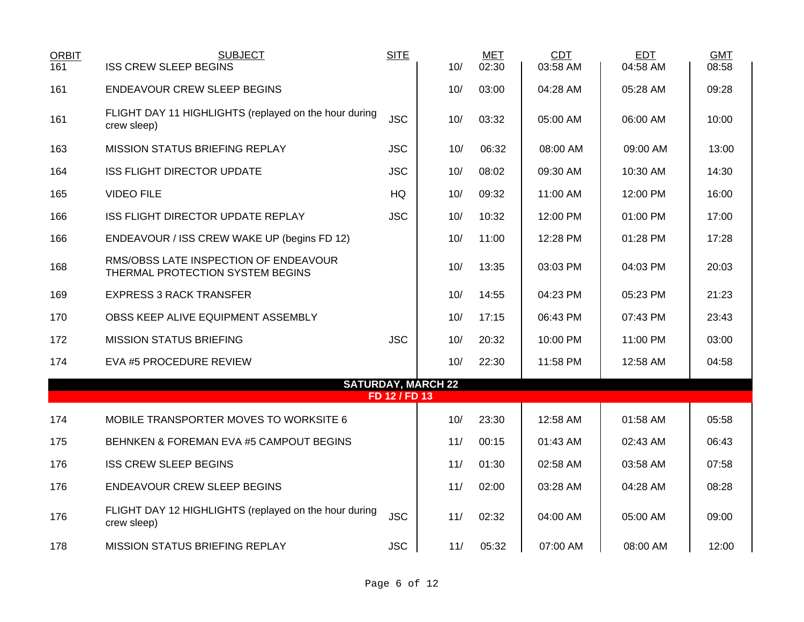| <b>ORBIT</b><br>161 | <b>SUBJECT</b><br><b>ISS CREW SLEEP BEGINS</b>                            | <b>SITE</b>   | 10/                       | <b>MET</b><br>02:30 | CDT<br>03:58 AM | <b>EDT</b><br>04:58 AM | <b>GMT</b><br>08:58 |
|---------------------|---------------------------------------------------------------------------|---------------|---------------------------|---------------------|-----------------|------------------------|---------------------|
| 161                 | <b>ENDEAVOUR CREW SLEEP BEGINS</b>                                        |               | 10/                       | 03:00               | 04:28 AM        | 05:28 AM               | 09:28               |
| 161                 | FLIGHT DAY 11 HIGHLIGHTS (replayed on the hour during<br>crew sleep)      | <b>JSC</b>    | 10/                       | 03:32               | 05:00 AM        | 06:00 AM               | 10:00               |
| 163                 | MISSION STATUS BRIEFING REPLAY                                            | <b>JSC</b>    | 10/                       | 06:32               | 08:00 AM        | 09:00 AM               | 13:00               |
| 164                 | <b>ISS FLIGHT DIRECTOR UPDATE</b>                                         | <b>JSC</b>    | 10/                       | 08:02               | 09:30 AM        | 10:30 AM               | 14:30               |
| 165                 | <b>VIDEO FILE</b>                                                         | HQ            | 10/                       | 09:32               | 11:00 AM        | 12:00 PM               | 16:00               |
| 166                 | <b>ISS FLIGHT DIRECTOR UPDATE REPLAY</b>                                  | <b>JSC</b>    | 10/                       | 10:32               | 12:00 PM        | 01:00 PM               | 17:00               |
| 166                 | ENDEAVOUR / ISS CREW WAKE UP (begins FD 12)                               |               | 10/                       | 11:00               | 12:28 PM        | 01:28 PM               | 17:28               |
| 168                 | RMS/OBSS LATE INSPECTION OF ENDEAVOUR<br>THERMAL PROTECTION SYSTEM BEGINS |               | 10/                       | 13:35               | 03:03 PM        | 04:03 PM               | 20:03               |
| 169                 | <b>EXPRESS 3 RACK TRANSFER</b>                                            |               | 10/                       | 14:55               | 04:23 PM        | 05:23 PM               | 21:23               |
| 170                 | OBSS KEEP ALIVE EQUIPMENT ASSEMBLY                                        |               | 10/                       | 17:15               | 06:43 PM        | 07:43 PM               | 23:43               |
| 172                 | <b>MISSION STATUS BRIEFING</b>                                            | <b>JSC</b>    | 10/                       | 20:32               | 10:00 PM        | 11:00 PM               | 03:00               |
| 174                 | EVA #5 PROCEDURE REVIEW                                                   |               | 10/                       | 22:30               | 11:58 PM        | 12:58 AM               | 04:58               |
|                     |                                                                           | FD 12 / FD 13 | <b>SATURDAY, MARCH 22</b> |                     |                 |                        |                     |
|                     |                                                                           |               |                           |                     |                 |                        |                     |
| 174                 | MOBILE TRANSPORTER MOVES TO WORKSITE 6                                    |               | 10/                       | 23:30               | 12:58 AM        | 01:58 AM               | 05:58               |
| 175                 | BEHNKEN & FOREMAN EVA #5 CAMPOUT BEGINS                                   |               | 11/                       | 00:15               | 01:43 AM        | 02:43 AM               | 06:43               |
| 176                 | <b>ISS CREW SLEEP BEGINS</b>                                              |               | 11/                       | 01:30               | 02:58 AM        | 03:58 AM               | 07:58               |
| 176                 | <b>ENDEAVOUR CREW SLEEP BEGINS</b>                                        |               | 11/                       | 02:00               | 03:28 AM        | 04:28 AM               | 08:28               |
| 176                 | FLIGHT DAY 12 HIGHLIGHTS (replayed on the hour during<br>crew sleep)      | <b>JSC</b>    | 11/                       | 02:32               | 04:00 AM        | 05:00 AM               | 09:00               |
| 178                 | MISSION STATUS BRIEFING REPLAY                                            | <b>JSC</b>    | 11/                       | 05:32               | 07:00 AM        | 08:00 AM               | 12:00               |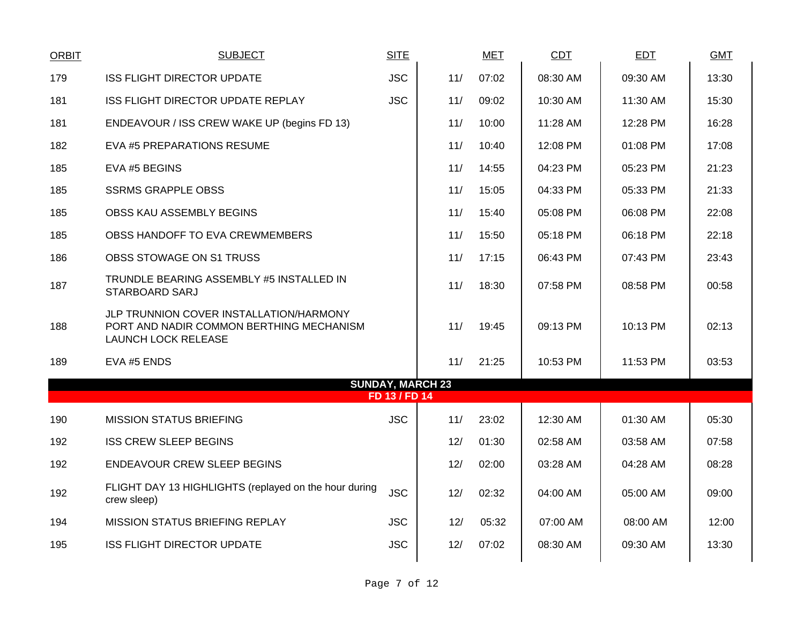| <b>ORBIT</b> | <b>SUBJECT</b>                                                                                                    | <b>SITE</b>   |                         | <b>MET</b> | CDT      | <b>EDT</b> | <b>GMT</b> |
|--------------|-------------------------------------------------------------------------------------------------------------------|---------------|-------------------------|------------|----------|------------|------------|
| 179          | <b>ISS FLIGHT DIRECTOR UPDATE</b>                                                                                 | <b>JSC</b>    | 11/                     | 07:02      | 08:30 AM | 09:30 AM   | 13:30      |
| 181          | ISS FLIGHT DIRECTOR UPDATE REPLAY                                                                                 | <b>JSC</b>    | 11/                     | 09:02      | 10:30 AM | 11:30 AM   | 15:30      |
| 181          | ENDEAVOUR / ISS CREW WAKE UP (begins FD 13)                                                                       |               | 11/                     | 10:00      | 11:28 AM | 12:28 PM   | 16:28      |
| 182          | EVA #5 PREPARATIONS RESUME                                                                                        |               | 11/                     | 10:40      | 12:08 PM | 01:08 PM   | 17:08      |
| 185          | EVA #5 BEGINS                                                                                                     |               | 11/                     | 14:55      | 04:23 PM | 05:23 PM   | 21:23      |
| 185          | <b>SSRMS GRAPPLE OBSS</b>                                                                                         |               | 11/                     | 15:05      | 04:33 PM | 05:33 PM   | 21:33      |
| 185          | OBSS KAU ASSEMBLY BEGINS                                                                                          |               | 11/                     | 15:40      | 05:08 PM | 06:08 PM   | 22:08      |
| 185          | OBSS HANDOFF TO EVA CREWMEMBERS                                                                                   |               | 11/                     | 15:50      | 05:18 PM | 06:18 PM   | 22:18      |
| 186          | OBSS STOWAGE ON S1 TRUSS                                                                                          |               | 11/                     | 17:15      | 06:43 PM | 07:43 PM   | 23:43      |
| 187          | TRUNDLE BEARING ASSEMBLY #5 INSTALLED IN<br>STARBOARD SARJ                                                        |               | 11/                     | 18:30      | 07:58 PM | 08:58 PM   | 00:58      |
| 188          | JLP TRUNNION COVER INSTALLATION/HARMONY<br>PORT AND NADIR COMMON BERTHING MECHANISM<br><b>LAUNCH LOCK RELEASE</b> |               | 11/                     | 19:45      | 09:13 PM | 10:13 PM   | 02:13      |
| 189          | EVA #5 ENDS                                                                                                       |               | 11/                     | 21:25      | 10:53 PM | 11:53 PM   | 03:53      |
|              |                                                                                                                   | FD 13 / FD 14 | <b>SUNDAY, MARCH 23</b> |            |          |            |            |
| 190          | <b>MISSION STATUS BRIEFING</b>                                                                                    | <b>JSC</b>    | 11/                     | 23:02      | 12:30 AM | 01:30 AM   | 05:30      |
| 192          | <b>ISS CREW SLEEP BEGINS</b>                                                                                      |               | 12/                     | 01:30      | 02:58 AM | 03:58 AM   | 07:58      |
|              |                                                                                                                   |               |                         |            |          |            |            |
| 192          | ENDEAVOUR CREW SLEEP BEGINS                                                                                       |               | 12/                     | 02:00      | 03:28 AM | 04:28 AM   | 08:28      |
| 192          | FLIGHT DAY 13 HIGHLIGHTS (replayed on the hour during<br>crew sleep)                                              | <b>JSC</b>    | 12/                     | 02:32      | 04:00 AM | 05:00 AM   | 09:00      |
| 194          | MISSION STATUS BRIEFING REPLAY                                                                                    | <b>JSC</b>    | 12/                     | 05:32      | 07:00 AM | 08:00 AM   | 12:00      |
| 195          | <b>ISS FLIGHT DIRECTOR UPDATE</b>                                                                                 | <b>JSC</b>    | 12/                     | 07:02      | 08:30 AM | 09:30 AM   | 13:30      |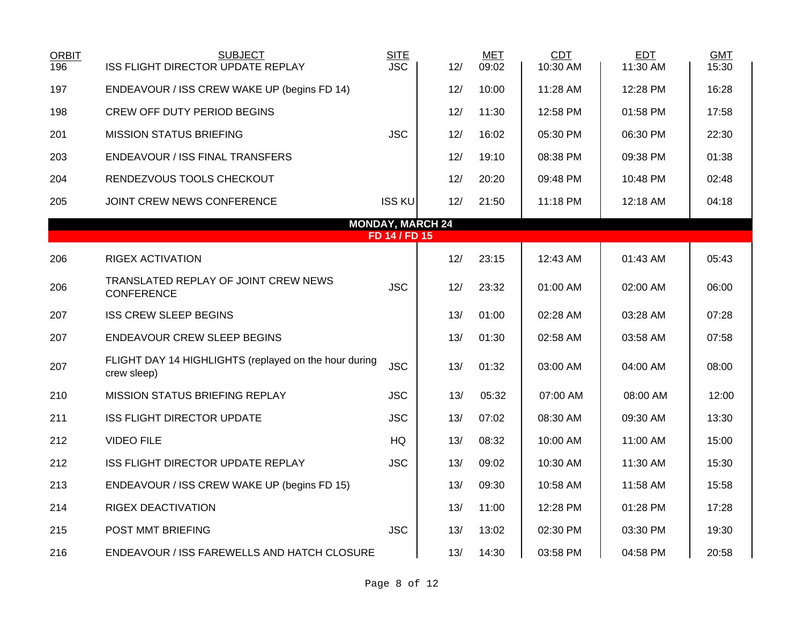| <b>ORBIT</b><br>196 | <b>SUBJECT</b><br>ISS FLIGHT DIRECTOR UPDATE REPLAY                  | <b>SITE</b><br><b>JSC</b> | 12/                     | <b>MET</b><br>09:02 | CDT<br>10:30 AM | EDT<br>11:30 AM | <b>GMT</b><br>15:30 |
|---------------------|----------------------------------------------------------------------|---------------------------|-------------------------|---------------------|-----------------|-----------------|---------------------|
| 197                 | ENDEAVOUR / ISS CREW WAKE UP (begins FD 14)                          |                           | 12/                     | 10:00               | 11:28 AM        | 12:28 PM        | 16:28               |
| 198                 | <b>CREW OFF DUTY PERIOD BEGINS</b>                                   |                           | 12/                     | 11:30               | 12:58 PM        | 01:58 PM        | 17:58               |
| 201                 | <b>MISSION STATUS BRIEFING</b>                                       | <b>JSC</b>                | 12/                     | 16:02               | 05:30 PM        | 06:30 PM        | 22:30               |
| 203                 | <b>ENDEAVOUR / ISS FINAL TRANSFERS</b>                               |                           | 12/                     | 19:10               | 08:38 PM        | 09:38 PM        | 01:38               |
| 204                 | RENDEZVOUS TOOLS CHECKOUT                                            |                           | 12/                     | 20:20               | 09:48 PM        | 10:48 PM        | 02:48               |
| 205                 | JOINT CREW NEWS CONFERENCE                                           | <b>ISS KU</b>             | 12/                     | 21:50               | 11:18 PM        | 12:18 AM        | 04:18               |
|                     |                                                                      |                           | <b>MONDAY, MARCH 24</b> |                     |                 |                 |                     |
|                     |                                                                      | FD 14 / FD 15             |                         |                     |                 |                 |                     |
| 206                 | <b>RIGEX ACTIVATION</b>                                              |                           | 12/                     | 23:15               | 12:43 AM        | 01:43 AM        | 05:43               |
| 206                 | TRANSLATED REPLAY OF JOINT CREW NEWS<br><b>CONFERENCE</b>            | <b>JSC</b>                | 12/                     | 23:32               | 01:00 AM        | 02:00 AM        | 06:00               |
| 207                 | <b>ISS CREW SLEEP BEGINS</b>                                         |                           | 13/                     | 01:00               | 02:28 AM        | 03:28 AM        | 07:28               |
| 207                 | <b>ENDEAVOUR CREW SLEEP BEGINS</b>                                   |                           | 13/                     | 01:30               | 02:58 AM        | 03:58 AM        | 07:58               |
| 207                 | FLIGHT DAY 14 HIGHLIGHTS (replayed on the hour during<br>crew sleep) | <b>JSC</b>                | 13/                     | 01:32               | 03:00 AM        | 04:00 AM        | 08:00               |
| 210                 | <b>MISSION STATUS BRIEFING REPLAY</b>                                | <b>JSC</b>                | 13/                     | 05:32               | 07:00 AM        | 08:00 AM        | 12:00               |
| 211                 | <b>ISS FLIGHT DIRECTOR UPDATE</b>                                    | <b>JSC</b>                | 13/                     | 07:02               | 08:30 AM        | 09:30 AM        | 13:30               |
| 212                 | <b>VIDEO FILE</b>                                                    | HQ                        | 13/                     | 08:32               | 10:00 AM        | 11:00 AM        | 15:00               |
| 212                 | <b>ISS FLIGHT DIRECTOR UPDATE REPLAY</b>                             | <b>JSC</b>                | 13/                     | 09:02               | 10:30 AM        | 11:30 AM        | 15:30               |
| 213                 | ENDEAVOUR / ISS CREW WAKE UP (begins FD 15)                          |                           | 13/                     | 09:30               | 10:58 AM        | 11:58 AM        | 15:58               |
| 214                 | <b>RIGEX DEACTIVATION</b>                                            |                           | 13/                     | 11:00               | 12:28 PM        | 01:28 PM        | 17:28               |
| 215                 | POST MMT BRIEFING                                                    | <b>JSC</b>                | 13/                     | 13:02               | 02:30 PM        | 03:30 PM        | 19:30               |
| 216                 | ENDEAVOUR / ISS FAREWELLS AND HATCH CLOSURE                          |                           | 13/                     | 14:30               | 03:58 PM        | 04:58 PM        | 20:58               |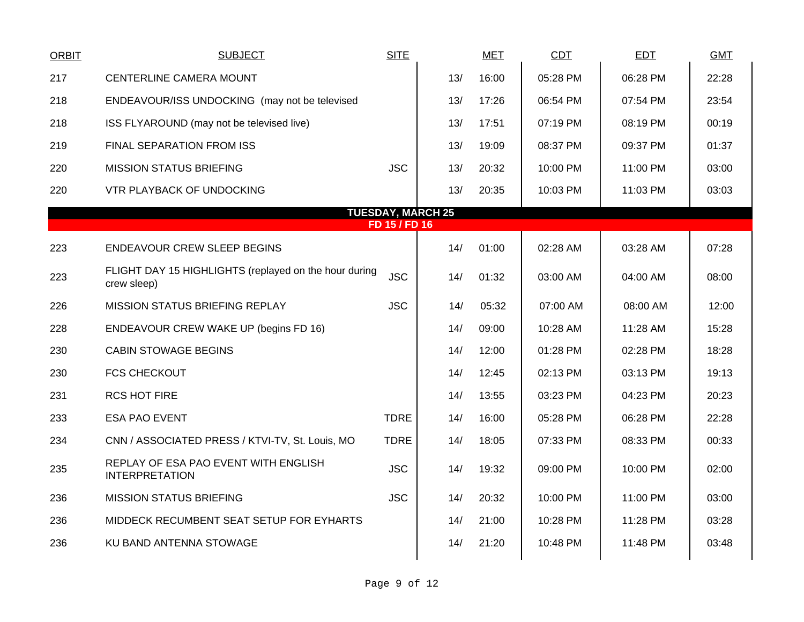| <b>ORBIT</b> | <b>SUBJECT</b>                                                       | <b>SITE</b>   |                          | <b>MET</b> | <b>CDT</b> | <b>EDT</b> | <b>GMT</b> |
|--------------|----------------------------------------------------------------------|---------------|--------------------------|------------|------------|------------|------------|
| 217          | CENTERLINE CAMERA MOUNT                                              |               | 13/                      | 16:00      | 05:28 PM   | 06:28 PM   | 22:28      |
| 218          | ENDEAVOUR/ISS UNDOCKING (may not be televised                        |               | 13/                      | 17:26      | 06:54 PM   | 07:54 PM   | 23:54      |
| 218          | ISS FLYAROUND (may not be televised live)                            |               | 13/                      | 17:51      | 07:19 PM   | 08:19 PM   | 00:19      |
| 219          | FINAL SEPARATION FROM ISS                                            |               | 13/                      | 19:09      | 08:37 PM   | 09:37 PM   | 01:37      |
| 220          | <b>MISSION STATUS BRIEFING</b>                                       | <b>JSC</b>    | 13/                      | 20:32      | 10:00 PM   | 11:00 PM   | 03:00      |
| 220          | VTR PLAYBACK OF UNDOCKING                                            |               | 13/                      | 20:35      | 10:03 PM   | 11:03 PM   | 03:03      |
|              |                                                                      |               | <b>TUESDAY, MARCH 25</b> |            |            |            |            |
|              |                                                                      | FD 15 / FD 16 |                          |            |            |            |            |
| 223          | <b>ENDEAVOUR CREW SLEEP BEGINS</b>                                   |               | 14/                      | 01:00      | 02:28 AM   | 03:28 AM   | 07:28      |
| 223          | FLIGHT DAY 15 HIGHLIGHTS (replayed on the hour during<br>crew sleep) | <b>JSC</b>    | 14/                      | 01:32      | 03:00 AM   | 04:00 AM   | 08:00      |
| 226          | <b>MISSION STATUS BRIEFING REPLAY</b>                                | <b>JSC</b>    | 14/                      | 05:32      | 07:00 AM   | 08:00 AM   | 12:00      |
| 228          | ENDEAVOUR CREW WAKE UP (begins FD 16)                                |               | 14/                      | 09:00      | 10:28 AM   | 11:28 AM   | 15:28      |
| 230          | CABIN STOWAGE BEGINS                                                 |               | 14/                      | 12:00      | 01:28 PM   | 02:28 PM   | 18:28      |
| 230          | <b>FCS CHECKOUT</b>                                                  |               | 14/                      | 12:45      | 02:13 PM   | 03:13 PM   | 19:13      |
| 231          | <b>RCS HOT FIRE</b>                                                  |               | 14/                      | 13:55      | 03:23 PM   | 04:23 PM   | 20:23      |
| 233          | <b>ESA PAO EVENT</b>                                                 | <b>TDRE</b>   | 14/                      | 16:00      | 05:28 PM   | 06:28 PM   | 22:28      |
| 234          | CNN / ASSOCIATED PRESS / KTVI-TV, St. Louis, MO                      | <b>TDRE</b>   | 14/                      | 18:05      | 07:33 PM   | 08:33 PM   | 00:33      |
| 235          | REPLAY OF ESA PAO EVENT WITH ENGLISH<br><b>INTERPRETATION</b>        | <b>JSC</b>    | 14/                      | 19:32      | 09:00 PM   | 10:00 PM   | 02:00      |
| 236          | <b>MISSION STATUS BRIEFING</b>                                       | <b>JSC</b>    | 14/                      | 20:32      | 10:00 PM   | 11:00 PM   | 03:00      |
| 236          | MIDDECK RECUMBENT SEAT SETUP FOR EYHARTS                             |               | 14/                      | 21:00      | 10:28 PM   | 11:28 PM   | 03:28      |
| 236          | KU BAND ANTENNA STOWAGE                                              |               | 14/                      | 21:20      | 10:48 PM   | 11:48 PM   | 03:48      |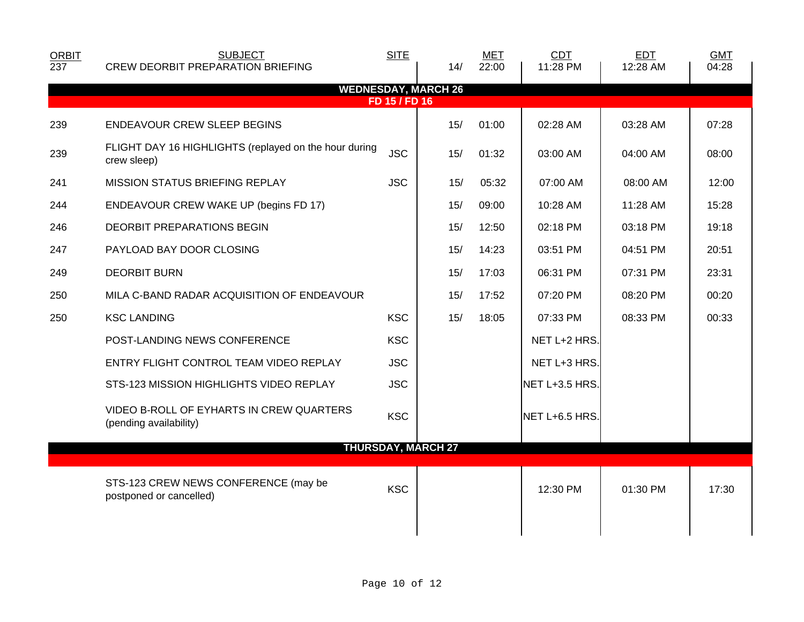| <b>ORBIT</b> | <b>SUBJECT</b>                                                       | <b>SITE</b>   |                            | <b>MET</b> | CDT            | EDT      | <b>GMT</b> |
|--------------|----------------------------------------------------------------------|---------------|----------------------------|------------|----------------|----------|------------|
| 237          | <b>CREW DEORBIT PREPARATION BRIEFING</b>                             |               | 14/                        | 22:00      | 11:28 PM       | 12:28 AM | 04:28      |
|              |                                                                      | FD 15 / FD 16 | <b>WEDNESDAY, MARCH 26</b> |            |                |          |            |
| 239          | <b>ENDEAVOUR CREW SLEEP BEGINS</b>                                   |               | 15/                        | 01:00      | 02:28 AM       | 03:28 AM | 07:28      |
| 239          | FLIGHT DAY 16 HIGHLIGHTS (replayed on the hour during<br>crew sleep) | <b>JSC</b>    | 15/                        | 01:32      | 03:00 AM       | 04:00 AM | 08:00      |
| 241          | MISSION STATUS BRIEFING REPLAY                                       | <b>JSC</b>    | 15/                        | 05:32      | 07:00 AM       | 08:00 AM | 12:00      |
| 244          | ENDEAVOUR CREW WAKE UP (begins FD 17)                                |               | 15/                        | 09:00      | 10:28 AM       | 11:28 AM | 15:28      |
| 246          | DEORBIT PREPARATIONS BEGIN                                           |               | 15/                        | 12:50      | 02:18 PM       | 03:18 PM | 19:18      |
| 247          | PAYLOAD BAY DOOR CLOSING                                             |               | 15/                        | 14:23      | 03:51 PM       | 04:51 PM | 20:51      |
| 249          | <b>DEORBIT BURN</b>                                                  |               | 15/                        | 17:03      | 06:31 PM       | 07:31 PM | 23:31      |
| 250          | MILA C-BAND RADAR ACQUISITION OF ENDEAVOUR                           |               | 15/                        | 17:52      | 07:20 PM       | 08:20 PM | 00:20      |
| 250          | <b>KSC LANDING</b>                                                   | <b>KSC</b>    | 15/                        | 18:05      | 07:33 PM       | 08:33 PM | 00:33      |
|              | POST-LANDING NEWS CONFERENCE                                         | <b>KSC</b>    |                            |            | NET L+2 HRS.   |          |            |
|              | ENTRY FLIGHT CONTROL TEAM VIDEO REPLAY                               | <b>JSC</b>    |                            |            | NET L+3 HRS.   |          |            |
|              | STS-123 MISSION HIGHLIGHTS VIDEO REPLAY                              | <b>JSC</b>    |                            |            | NET L+3.5 HRS. |          |            |
|              | VIDEO B-ROLL OF EYHARTS IN CREW QUARTERS<br>(pending availability)   | <b>KSC</b>    |                            |            | NET L+6.5 HRS. |          |            |
|              |                                                                      |               | <b>THURSDAY, MARCH 27</b>  |            |                |          |            |
|              | STS-123 CREW NEWS CONFERENCE (may be<br>postponed or cancelled)      | <b>KSC</b>    |                            |            | 12:30 PM       | 01:30 PM | 17:30      |
|              |                                                                      |               |                            |            |                |          |            |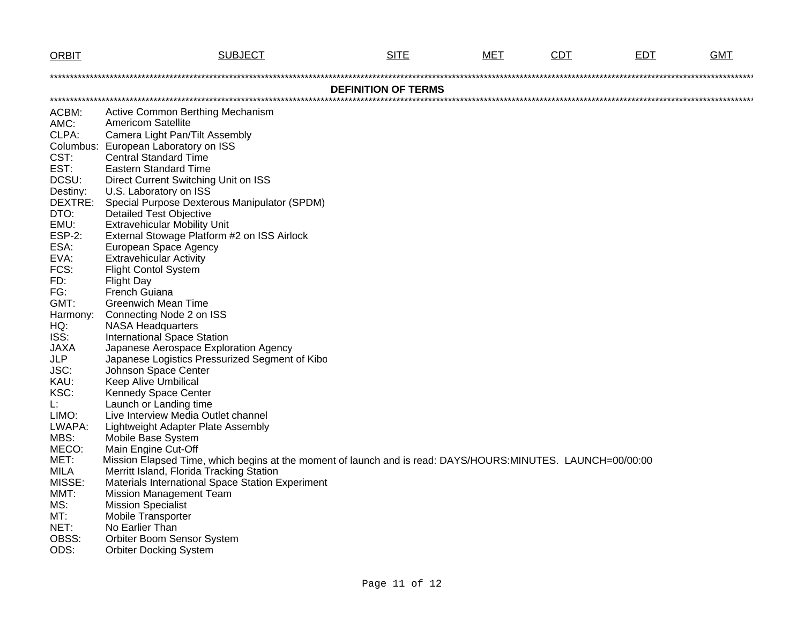| <b>ORBIT</b>  | <b>SUBJECT</b>                                                                                              | <b>SITE</b>                | MET | <b>CDT</b> | <b>EDT</b> | <b>GMT</b> |
|---------------|-------------------------------------------------------------------------------------------------------------|----------------------------|-----|------------|------------|------------|
|               |                                                                                                             |                            |     |            |            |            |
|               |                                                                                                             | <b>DEFINITION OF TERMS</b> |     |            |            |            |
|               |                                                                                                             |                            |     |            |            |            |
| ACBM:         | Active Common Berthing Mechanism                                                                            |                            |     |            |            |            |
| AMC:          | <b>Americom Satellite</b>                                                                                   |                            |     |            |            |            |
| CLPA:         | Camera Light Pan/Tilt Assembly                                                                              |                            |     |            |            |            |
|               | Columbus: European Laboratory on ISS                                                                        |                            |     |            |            |            |
| CST:          | <b>Central Standard Time</b>                                                                                |                            |     |            |            |            |
| EST:          | <b>Eastern Standard Time</b>                                                                                |                            |     |            |            |            |
| DCSU:         | Direct Current Switching Unit on ISS                                                                        |                            |     |            |            |            |
| Destiny:      | U.S. Laboratory on ISS                                                                                      |                            |     |            |            |            |
| DEXTRE:       | Special Purpose Dexterous Manipulator (SPDM)                                                                |                            |     |            |            |            |
| DTO:          | <b>Detailed Test Objective</b>                                                                              |                            |     |            |            |            |
| EMU:          | <b>Extravehicular Mobility Unit</b>                                                                         |                            |     |            |            |            |
| <b>ESP-2:</b> | External Stowage Platform #2 on ISS Airlock                                                                 |                            |     |            |            |            |
| ESA:          | European Space Agency                                                                                       |                            |     |            |            |            |
| EVA:          | <b>Extravehicular Activity</b>                                                                              |                            |     |            |            |            |
| FCS:          | <b>Flight Contol System</b>                                                                                 |                            |     |            |            |            |
| FD:<br>FG:    | <b>Flight Day</b><br>French Guiana                                                                          |                            |     |            |            |            |
| GMT:          | <b>Greenwich Mean Time</b>                                                                                  |                            |     |            |            |            |
| Harmony:      | Connecting Node 2 on ISS                                                                                    |                            |     |            |            |            |
| HQ:           | <b>NASA Headquarters</b>                                                                                    |                            |     |            |            |            |
| ISS:          | <b>International Space Station</b>                                                                          |                            |     |            |            |            |
| <b>JAXA</b>   | Japanese Aerospace Exploration Agency                                                                       |                            |     |            |            |            |
| <b>JLP</b>    | Japanese Logistics Pressurized Segment of Kibo                                                              |                            |     |            |            |            |
| JSC:          | Johnson Space Center                                                                                        |                            |     |            |            |            |
| KAU:          | <b>Keep Alive Umbilical</b>                                                                                 |                            |     |            |            |            |
| KSC:          | Kennedy Space Center                                                                                        |                            |     |            |            |            |
| Ŀ.            | Launch or Landing time                                                                                      |                            |     |            |            |            |
| LIMO:         | Live Interview Media Outlet channel                                                                         |                            |     |            |            |            |
| LWAPA:        | Lightweight Adapter Plate Assembly                                                                          |                            |     |            |            |            |
| MBS:          | Mobile Base System                                                                                          |                            |     |            |            |            |
| MECO:         | Main Engine Cut-Off                                                                                         |                            |     |            |            |            |
| MET:          | Mission Elapsed Time, which begins at the moment of launch and is read: DAYS/HOURS:MINUTES. LAUNCH=00/00:00 |                            |     |            |            |            |
| <b>MILA</b>   | Merritt Island, Florida Tracking Station                                                                    |                            |     |            |            |            |
| MISSE:        | Materials International Space Station Experiment                                                            |                            |     |            |            |            |
| MMT:          | <b>Mission Management Team</b>                                                                              |                            |     |            |            |            |
| MS:           | <b>Mission Specialist</b>                                                                                   |                            |     |            |            |            |
| MT:           | <b>Mobile Transporter</b>                                                                                   |                            |     |            |            |            |
| NET:          | No Earlier Than                                                                                             |                            |     |            |            |            |
| OBSS:         | <b>Orbiter Boom Sensor System</b>                                                                           |                            |     |            |            |            |
| ODS:          | <b>Orbiter Docking System</b>                                                                               |                            |     |            |            |            |